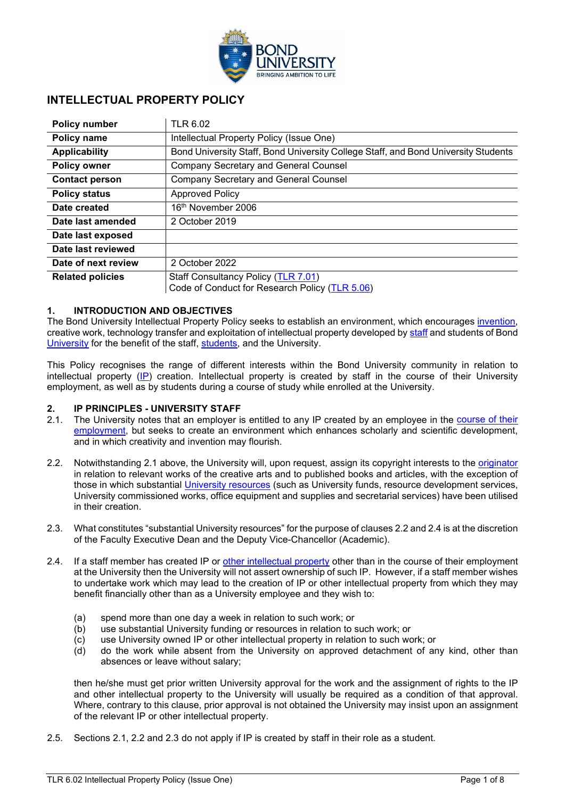

### **INTELLECTUAL PROPERTY POLICY**

| <b>Policy number</b>    | <b>TLR 6.02</b>                                                                       |
|-------------------------|---------------------------------------------------------------------------------------|
| Policy name             | Intellectual Property Policy (Issue One)                                              |
| <b>Applicability</b>    | Bond University Staff, Bond University College Staff, and Bond University Students    |
| <b>Policy owner</b>     | <b>Company Secretary and General Counsel</b>                                          |
| <b>Contact person</b>   | <b>Company Secretary and General Counsel</b>                                          |
| <b>Policy status</b>    | <b>Approved Policy</b>                                                                |
| Date created            | 16 <sup>th</sup> November 2006                                                        |
| Date last amended       | 2 October 2019                                                                        |
| Date last exposed       |                                                                                       |
| Date last reviewed      |                                                                                       |
| Date of next review     | 2 October 2022                                                                        |
| <b>Related policies</b> | Staff Consultancy Policy (TLR 7.01)<br>Code of Conduct for Research Policy (TLR 5.06) |

#### **1. INTRODUCTION AND OBJECTIVES**

The Bond University Intellectual Property Policy seeks to establish an environment, which encourages [invention,](#page-6-0) creative work, technology transfer and exploitation of intellectual property developed by [staff](#page-6-1) and students of Bond [University](#page-6-2) for the benefit of the staff, [students,](#page-6-3) and the University.

This Policy recognises the range of different interests within the Bond University community in relation to intellectual property [\(IP\)](#page-6-4) creation. Intellectual property is created by staff in the course of their University employment, as well as by students during a course of study while enrolled at the University.

# **2. IP PRINCIPLES - UNIVERSITY STAFF**

- The University notes that an employer is entitled to any IP created by an employee in the course of their [employment,](#page-5-0) but seeks to create an environment which enhances scholarly and scientific development, and in which creativity and invention may flourish.
- 2.2. Notwithstanding 2.1 above, the University will, upon request, assign its copyright interests to the [originator](#page-6-5) in relation to relevant works of the creative arts and to published books and articles, with the exception of those in which substantial *University resources* (such as University funds, resource development services, University commissioned works, office equipment and supplies and secretarial services) have been utilised in their creation.
- 2.3. What constitutes "substantial University resources" for the purpose of clauses 2.2 and 2.4 is at the discretion of the Faculty Executive Dean and the Deputy Vice-Chancellor (Academic).
- 2.4. If a staff member has created IP or [other intellectual property](#page-6-7) other than in the course of their employment at the University then the University will not assert ownership of such IP. However, if a staff member wishes to undertake work which may lead to the creation of IP or other intellectual property from which they may benefit financially other than as a University employee and they wish to:
	- (a) spend more than one day a week in relation to such work; or
	- (b) use substantial University funding or resources in relation to such work; or
	- (c) use University owned IP or other intellectual property in relation to such work; or (d) do the work while absent from the University on approved detachment of an
	- do the work while absent from the University on approved detachment of any kind, other than absences or leave without salary;

then he/she must get prior written University approval for the work and the assignment of rights to the IP and other intellectual property to the University will usually be required as a condition of that approval. Where, contrary to this clause, prior approval is not obtained the University may insist upon an assignment of the relevant IP or other intellectual property.

2.5. Sections 2.1, 2.2 and 2.3 do not apply if IP is created by staff in their role as a student.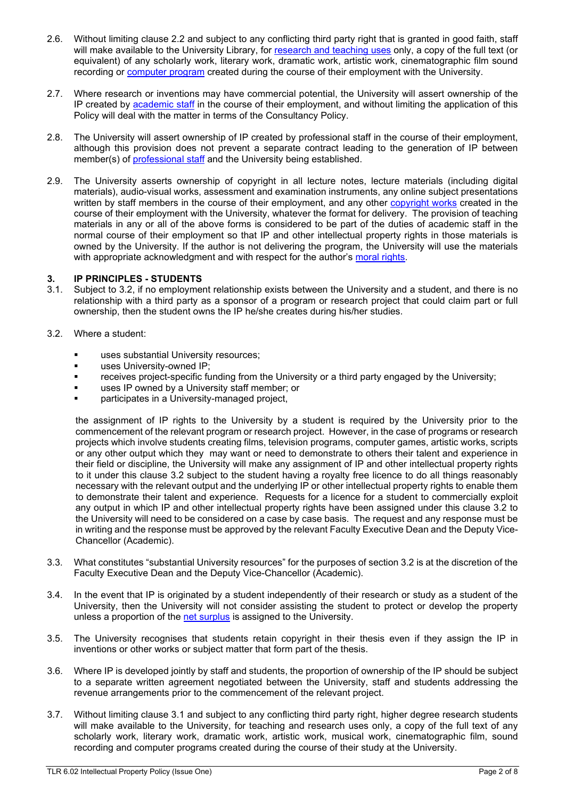- 2.6. Without limiting clause 2.2 and subject to any conflicting third party right that is granted in good faith, staff will make available to the University Library, for [research and teaching uses](#page-6-8) only, a copy of the full text (or equivalent) of any scholarly work, literary work, dramatic work, artistic work, cinematographic film sound recording or [computer program](#page-5-1) created during the course of their employment with the University.
- 2.7. Where research or inventions may have commercial potential, the University will assert ownership of the IP created by [academic staff](#page-5-2) in the course of their employment, and without limiting the application of this Policy will deal with the matter in terms of the Consultancy Policy.
- 2.8. The University will assert ownership of IP created by professional staff in the course of their employment, although this provision does not prevent a separate contract leading to the generation of IP between member(s) of [professional staff](#page-5-3) and the University being established.
- 2.9. The University asserts ownership of copyright in all lecture notes, lecture materials (including digital materials), audio-visual works, assessment and examination instruments, any online subject presentations written by staff members in the course of their employment, and any other [copyright works](#page-5-4) created in the course of their employment with the University, whatever the format for delivery. The provision of teaching materials in any or all of the above forms is considered to be part of the duties of academic staff in the normal course of their employment so that IP and other intellectual property rights in those materials is owned by the University. If the author is not delivering the program, the University will use the materials with appropriate acknowledgment and with respect for the author's [moral rights.](#page-6-9)

## **3. IP PRINCIPLES - STUDENTS**

- Subject to 3.2, if no employment relationship exists between the University and a student, and there is no relationship with a third party as a sponsor of a program or research project that could claim part or full ownership, then the student owns the IP he/she creates during his/her studies.
- 3.2. Where a student:
	- uses substantial University resources;
	- **uses University-owned IP;**
	- **•** receives project-specific funding from the University or a third party engaged by the University;
	- uses IP owned by a University staff member; or
	- participates in a University-managed project,

the assignment of IP rights to the University by a student is required by the University prior to the commencement of the relevant program or research project. However, in the case of programs or research projects which involve students creating films, television programs, computer games, artistic works, scripts or any other output which they may want or need to demonstrate to others their talent and experience in their field or discipline, the University will make any assignment of IP and other intellectual property rights to it under this clause 3.2 subject to the student having a royalty free licence to do all things reasonably necessary with the relevant output and the underlying IP or other intellectual property rights to enable them to demonstrate their talent and experience. Requests for a licence for a student to commercially exploit any output in which IP and other intellectual property rights have been assigned under this clause 3.2 to the University will need to be considered on a case by case basis. The request and any response must be in writing and the response must be approved by the relevant Faculty Executive Dean and the Deputy Vice-Chancellor (Academic).

- 3.3. What constitutes "substantial University resources" for the purposes of section 3.2 is at the discretion of the Faculty Executive Dean and the Deputy Vice-Chancellor (Academic).
- 3.4. In the event that IP is originated by a student independently of their research or study as a student of the University, then the University will not consider assisting the student to protect or develop the property unless a proportion of the [net surplus](#page-6-10) is assigned to the University.
- 3.5. The University recognises that students retain copyright in their thesis even if they assign the IP in inventions or other works or subject matter that form part of the thesis.
- 3.6. Where IP is developed jointly by staff and students, the proportion of ownership of the IP should be subject to a separate written agreement negotiated between the University, staff and students addressing the revenue arrangements prior to the commencement of the relevant project.
- 3.7. Without limiting clause 3.1 and subject to any conflicting third party right, higher degree research students will make available to the University, for teaching and research uses only, a copy of the full text of any scholarly work, literary work, dramatic work, artistic work, musical work, cinematographic film, sound recording and computer programs created during the course of their study at the University.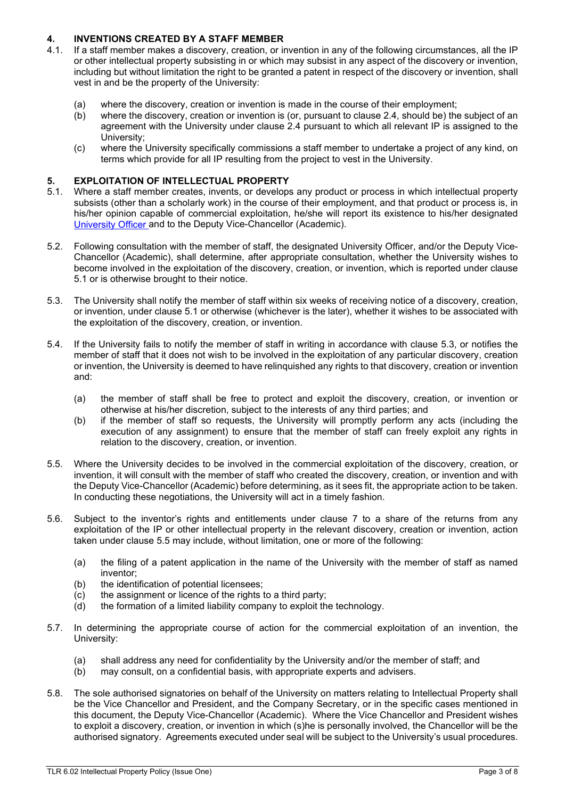## **4. INVENTIONS CREATED BY A STAFF MEMBER**

- If a staff member makes a discovery, creation, or invention in any of the following circumstances, all the IP or other intellectual property subsisting in or which may subsist in any aspect of the discovery or invention, including but without limitation the right to be granted a patent in respect of the discovery or invention, shall vest in and be the property of the University:
	- (a) where the discovery, creation or invention is made in the course of their employment;<br>(b) where the discovery, creation or invention is (or, pursuant to clause 2.4, should be) the
	- where the discovery, creation or invention is (or, pursuant to clause 2.4, should be) the subject of an agreement with the University under clause 2.4 pursuant to which all relevant IP is assigned to the University;
	- (c) where the University specifically commissions a staff member to undertake a project of any kind, on terms which provide for all IP resulting from the project to vest in the University.

# **5. EXPLOITATION OF INTELLECTUAL PROPERTY**

- Where a staff member creates, invents, or develops any product or process in which intellectual property subsists (other than a scholarly work) in the course of their employment, and that product or process is, in his/her opinion capable of commercial exploitation, he/she will report its existence to his/her designated [University Officer](#page-6-11) and to the Deputy Vice-Chancellor (Academic).
- 5.2. Following consultation with the member of staff, the designated University Officer, and/or the Deputy Vice-Chancellor (Academic), shall determine, after appropriate consultation, whether the University wishes to become involved in the exploitation of the discovery, creation, or invention, which is reported under clause 5.1 or is otherwise brought to their notice.
- 5.3. The University shall notify the member of staff within six weeks of receiving notice of a discovery, creation, or invention, under clause 5.1 or otherwise (whichever is the later), whether it wishes to be associated with the exploitation of the discovery, creation, or invention.
- 5.4. If the University fails to notify the member of staff in writing in accordance with clause 5.3, or notifies the member of staff that it does not wish to be involved in the exploitation of any particular discovery, creation or invention, the University is deemed to have relinquished any rights to that discovery, creation or invention and:
	- (a) the member of staff shall be free to protect and exploit the discovery, creation, or invention or otherwise at his/her discretion, subject to the interests of any third parties; and
	- (b) if the member of staff so requests, the University will promptly perform any acts (including the execution of any assignment) to ensure that the member of staff can freely exploit any rights in relation to the discovery, creation, or invention.
- 5.5. Where the University decides to be involved in the commercial exploitation of the discovery, creation, or invention, it will consult with the member of staff who created the discovery, creation, or invention and with the Deputy Vice-Chancellor (Academic) before determining, as it sees fit, the appropriate action to be taken. In conducting these negotiations, the University will act in a timely fashion.
- 5.6. Subject to the inventor's rights and entitlements under clause 7 to a share of the returns from any exploitation of the IP or other intellectual property in the relevant discovery, creation or invention, action taken under clause 5.5 may include, without limitation, one or more of the following:
	- (a) the filing of a patent application in the name of the University with the member of staff as named inventor;
	- (b) the identification of potential licensees;
	- (c) the assignment or licence of the rights to a third party;
	- (d) the formation of a limited liability company to exploit the technology.
- 5.7. In determining the appropriate course of action for the commercial exploitation of an invention, the University:
	- (a) shall address any need for confidentiality by the University and/or the member of staff; and (b) may consult, on a confidential basis, with appropriate experts and advisers.
	- may consult, on a confidential basis, with appropriate experts and advisers.
- 5.8. The sole authorised signatories on behalf of the University on matters relating to Intellectual Property shall be the Vice Chancellor and President, and the Company Secretary, or in the specific cases mentioned in this document, the Deputy Vice-Chancellor (Academic). Where the Vice Chancellor and President wishes to exploit a discovery, creation, or invention in which (s)he is personally involved, the Chancellor will be the authorised signatory. Agreements executed under seal will be subject to the University's usual procedures.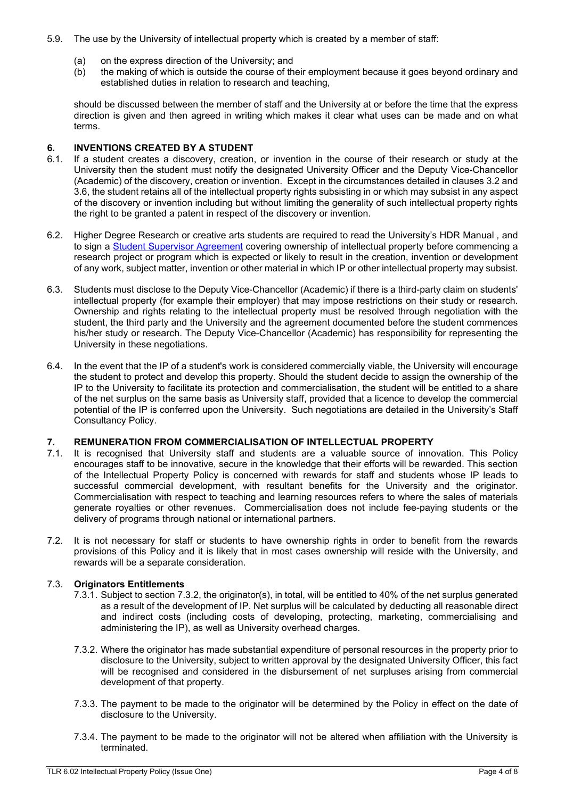- 5.9. The use by the University of intellectual property which is created by a member of staff:
	- (a) on the express direction of the University; and<br>(b) the making of which is outside the course of th
	- the making of which is outside the course of their employment because it goes beyond ordinary and established duties in relation to research and teaching,

should be discussed between the member of staff and the University at or before the time that the express direction is given and then agreed in writing which makes it clear what uses can be made and on what terms.

# **6. INVENTIONS CREATED BY A STUDENT**

- If a student creates a discovery, creation, or invention in the course of their research or study at the University then the student must notify the designated University Officer and the Deputy Vice-Chancellor (Academic) of the discovery, creation or invention. Except in the circumstances detailed in clauses 3.2 and 3.6, the student retains all of the intellectual property rights subsisting in or which may subsist in any aspect of the discovery or invention including but without limiting the generality of such intellectual property rights the right to be granted a patent in respect of the discovery or invention.
- 6.2. Higher Degree Research or creative arts students are required to read the University's HDR Manual *,* and to sign a [Student Supervisor](https://ilearn.bond.edu.au/webapps/portal/frameset.jsp?url=%2Fwebapps%2Fblackboard%2Fexecute%2Flauncher%3Ftype%3DCourse%26id%3D_5097_1%26url%3D) Agreement covering ownership of intellectual property before commencing a research project or program which is expected or likely to result in the creation, invention or development of any work, subject matter, invention or other material in which IP or other intellectual property may subsist.
- 6.3. Students must disclose to the Deputy Vice-Chancellor (Academic) if there is a third-party claim on students' intellectual property (for example their employer) that may impose restrictions on their study or research. Ownership and rights relating to the intellectual property must be resolved through negotiation with the student, the third party and the University and the agreement documented before the student commences his/her study or research. The Deputy Vice-Chancellor (Academic) has responsibility for representing the University in these negotiations.
- 6.4. In the event that the IP of a student's work is considered commercially viable, the University will encourage the student to protect and develop this property. Should the student decide to assign the ownership of the IP to the University to facilitate its protection and commercialisation, the student will be entitled to a share of the net surplus on the same basis as University staff, provided that a licence to develop the commercial potential of the IP is conferred upon the University. Such negotiations are detailed in the University's Staff Consultancy Policy.

## **7. REMUNERATION FROM COMMERCIALISATION OF INTELLECTUAL PROPERTY**

- It is recognised that University staff and students are a valuable source of innovation. This Policy encourages staff to be innovative, secure in the knowledge that their efforts will be rewarded. This section of the Intellectual Property Policy is concerned with rewards for staff and students whose IP leads to successful commercial development, with resultant benefits for the University and the originator. Commercialisation with respect to teaching and learning resources refers to where the sales of materials generate royalties or other revenues. Commercialisation does not include fee-paying students or the delivery of programs through national or international partners.
- 7.2. It is not necessary for staff or students to have ownership rights in order to benefit from the rewards provisions of this Policy and it is likely that in most cases ownership will reside with the University, and rewards will be a separate consideration.

### 7.3. **Originators Entitlements**

- 7.3.1. Subject to section 7.3.2, the originator(s), in total, will be entitled to 40% of the net surplus generated as a result of the development of IP. Net surplus will be calculated by deducting all reasonable direct and indirect costs (including costs of developing, protecting, marketing, commercialising and administering the IP), as well as University overhead charges.
- 7.3.2. Where the originator has made substantial expenditure of personal resources in the property prior to disclosure to the University, subject to written approval by the designated University Officer, this fact will be recognised and considered in the disbursement of net surpluses arising from commercial development of that property.
- 7.3.3. The payment to be made to the originator will be determined by the Policy in effect on the date of disclosure to the University.
- 7.3.4. The payment to be made to the originator will not be altered when affiliation with the University is terminated.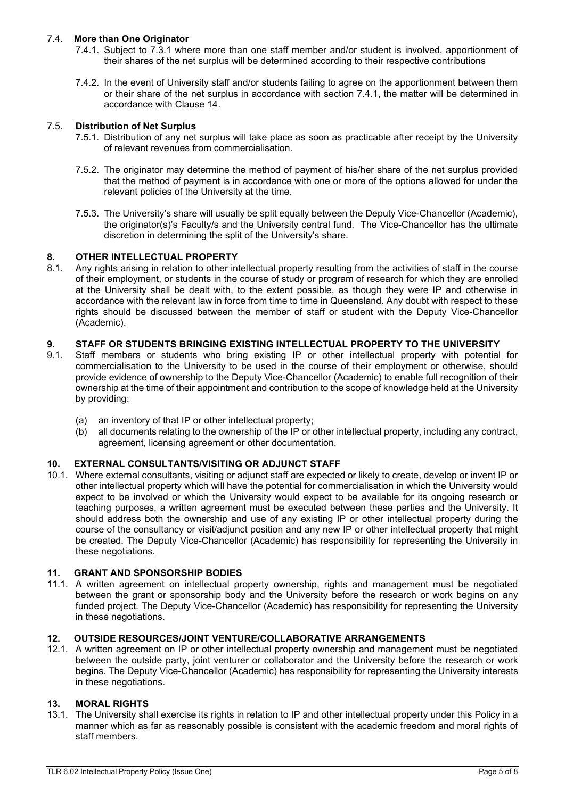### 7.4. **More than One Originator**

- 7.4.1. Subject to 7.3.1 where more than one staff member and/or student is involved, apportionment of their shares of the net surplus will be determined according to their respective contributions
- 7.4.2. In the event of University staff and/or students failing to agree on the apportionment between them or their share of the net surplus in accordance with section 7.4.1, the matter will be determined in accordance with Clause 14.

### 7.5. **Distribution of Net Surplus**

- 7.5.1. Distribution of any net surplus will take place as soon as practicable after receipt by the University of relevant revenues from commercialisation.
- 7.5.2. The originator may determine the method of payment of his/her share of the net surplus provided that the method of payment is in accordance with one or more of the options allowed for under the relevant policies of the University at the time.
- 7.5.3. The University's share will usually be split equally between the Deputy Vice-Chancellor (Academic), the originator(s)'s Faculty/s and the University central fund. The Vice-Chancellor has the ultimate discretion in determining the split of the University's share.

# **8. OTHER INTELLECTUAL PROPERTY**

Any rights arising in relation to other intellectual property resulting from the activities of staff in the course of their employment, or students in the course of study or program of research for which they are enrolled at the University shall be dealt with, to the extent possible, as though they were IP and otherwise in accordance with the relevant law in force from time to time in Queensland. Any doubt with respect to these rights should be discussed between the member of staff or student with the Deputy Vice-Chancellor (Academic).

# **9. STAFF OR STUDENTS BRINGING EXISTING INTELLECTUAL PROPERTY TO THE UNIVERSITY**

- Staff members or students who bring existing IP or other intellectual property with potential for commercialisation to the University to be used in the course of their employment or otherwise, should provide evidence of ownership to the Deputy Vice-Chancellor (Academic) to enable full recognition of their ownership at the time of their appointment and contribution to the scope of knowledge held at the University by providing:
	- (a) an inventory of that IP or other intellectual property;<br>(b) all documents relating to the ownership of the IP or o
	- all documents relating to the ownership of the IP or other intellectual property, including any contract, agreement, licensing agreement or other documentation.

### **10. EXTERNAL CONSULTANTS/VISITING OR ADJUNCT STAFF**

10.1. Where external consultants, visiting or adjunct staff are expected or likely to create, develop or invent IP or other intellectual property which will have the potential for commercialisation in which the University would expect to be involved or which the University would expect to be available for its ongoing research or teaching purposes, a written agreement must be executed between these parties and the University. It should address both the ownership and use of any existing IP or other intellectual property during the course of the consultancy or visit/adjunct position and any new IP or other intellectual property that might be created. The Deputy Vice-Chancellor (Academic) has responsibility for representing the University in these negotiations.

### **11. GRANT AND SPONSORSHIP BODIES**

11.1. A written agreement on intellectual property ownership, rights and management must be negotiated between the grant or sponsorship body and the University before the research or work begins on any funded project. The Deputy Vice-Chancellor (Academic) has responsibility for representing the University in these negotiations.

### **12. OUTSIDE RESOURCES/JOINT VENTURE/COLLABORATIVE ARRANGEMENTS**

12.1. A written agreement on IP or other intellectual property ownership and management must be negotiated between the outside party, joint venturer or collaborator and the University before the research or work begins. The Deputy Vice-Chancellor (Academic) has responsibility for representing the University interests in these negotiations.

### **13. MORAL RIGHTS**

13.1. The University shall exercise its rights in relation to IP and other intellectual property under this Policy in a manner which as far as reasonably possible is consistent with the academic freedom and moral rights of staff members.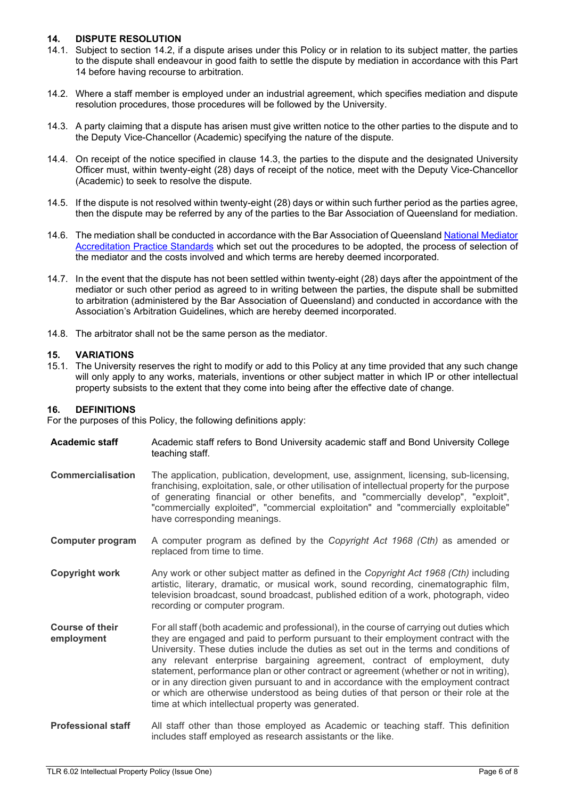### **14. DISPUTE RESOLUTION**

- 14.1. Subject to section 14.2, if a dispute arises under this Policy or in relation to its subject matter, the parties to the dispute shall endeavour in good faith to settle the dispute by mediation in accordance with this Part 14 before having recourse to arbitration.
- 14.2. Where a staff member is employed under an industrial agreement, which specifies mediation and dispute resolution procedures, those procedures will be followed by the University.
- 14.3. A party claiming that a dispute has arisen must give written notice to the other parties to the dispute and to the Deputy Vice-Chancellor (Academic) specifying the nature of the dispute.
- 14.4. On receipt of the notice specified in clause 14.3, the parties to the dispute and the designated University Officer must, within twenty-eight (28) days of receipt of the notice, meet with the Deputy Vice-Chancellor (Academic) to seek to resolve the dispute.
- 14.5. If the dispute is not resolved within twenty-eight (28) days or within such further period as the parties agree, then the dispute may be referred by any of the parties to the Bar Association of Queensland for mediation.
- 14.6. The mediation shall be conducted in accordance with the Bar Association of Queensland [National Mediator](https://www.qldbar.asn.au/images/pdf/71MediatiorsNADRACPracticeStandards.pdf)  [Accreditation Practice Standards](https://www.qldbar.asn.au/images/pdf/71MediatiorsNADRACPracticeStandards.pdf) which set out the procedures to be adopted, the process of selection of the mediator and the costs involved and which terms are hereby deemed incorporated.
- 14.7. In the event that the dispute has not been settled within twenty-eight (28) days after the appointment of the mediator or such other period as agreed to in writing between the parties, the dispute shall be submitted to arbitration (administered by the Bar Association of Queensland) and conducted in accordance with the Association's Arbitration Guidelines, which are hereby deemed incorporated.
- 14.8. The arbitrator shall not be the same person as the mediator.

### **15. VARIATIONS**

15.1. The University reserves the right to modify or add to this Policy at any time provided that any such change will only apply to any works, materials, inventions or other subject matter in which IP or other intellectual property subsists to the extent that they come into being after the effective date of change.

### **16. DEFINITIONS**

For the purposes of this Policy, the following definitions apply:

<span id="page-5-4"></span><span id="page-5-3"></span><span id="page-5-2"></span><span id="page-5-1"></span><span id="page-5-0"></span>

| <b>Academic staff</b>                | Academic staff refers to Bond University academic staff and Bond University College<br>teaching staff.                                                                                                                                                                                                                                                                                                                                                                                                                                                                                                                                                                                     |
|--------------------------------------|--------------------------------------------------------------------------------------------------------------------------------------------------------------------------------------------------------------------------------------------------------------------------------------------------------------------------------------------------------------------------------------------------------------------------------------------------------------------------------------------------------------------------------------------------------------------------------------------------------------------------------------------------------------------------------------------|
| <b>Commercialisation</b>             | The application, publication, development, use, assignment, licensing, sub-licensing,<br>franchising, exploitation, sale, or other utilisation of intellectual property for the purpose<br>of generating financial or other benefits, and "commercially develop", "exploit",<br>"commercially exploited", "commercial exploitation" and "commercially exploitable"<br>have corresponding meanings.                                                                                                                                                                                                                                                                                         |
| <b>Computer program</b>              | A computer program as defined by the Copyright Act 1968 (Cth) as amended or<br>replaced from time to time.                                                                                                                                                                                                                                                                                                                                                                                                                                                                                                                                                                                 |
| <b>Copyright work</b>                | Any work or other subject matter as defined in the Copyright Act 1968 (Cth) including<br>artistic, literary, dramatic, or musical work, sound recording, cinematographic film,<br>television broadcast, sound broadcast, published edition of a work, photograph, video<br>recording or computer program.                                                                                                                                                                                                                                                                                                                                                                                  |
| <b>Course of their</b><br>employment | For all staff (both academic and professional), in the course of carrying out duties which<br>they are engaged and paid to perform pursuant to their employment contract with the<br>University. These duties include the duties as set out in the terms and conditions of<br>any relevant enterprise bargaining agreement, contract of employment, duty<br>statement, performance plan or other contract or agreement (whether or not in writing),<br>or in any direction given pursuant to and in accordance with the employment contract<br>or which are otherwise understood as being duties of that person or their role at the<br>time at which intellectual property was generated. |
| $\sim$ $\sim$ $\sim$ $\sim$          | All interesting the contract of the contract of the contract of the contract of the contract of the contract of the contract of the contract of the contract of the contract of the contract of the contract of the contract o                                                                                                                                                                                                                                                                                                                                                                                                                                                             |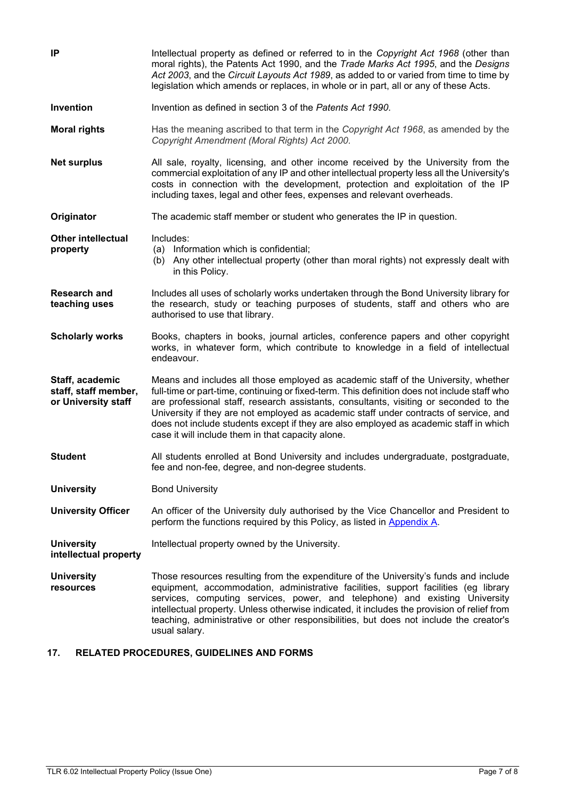<span id="page-6-10"></span><span id="page-6-9"></span><span id="page-6-8"></span><span id="page-6-7"></span><span id="page-6-5"></span><span id="page-6-4"></span><span id="page-6-0"></span>

| IP                                                             | Intellectual property as defined or referred to in the Copyright Act 1968 (other than<br>moral rights), the Patents Act 1990, and the Trade Marks Act 1995, and the Designs<br>Act 2003, and the Circuit Layouts Act 1989, as added to or varied from time to time by<br>legislation which amends or replaces, in whole or in part, all or any of these Acts.                                                                                                                                                      |
|----------------------------------------------------------------|--------------------------------------------------------------------------------------------------------------------------------------------------------------------------------------------------------------------------------------------------------------------------------------------------------------------------------------------------------------------------------------------------------------------------------------------------------------------------------------------------------------------|
| Invention                                                      | Invention as defined in section 3 of the Patents Act 1990.                                                                                                                                                                                                                                                                                                                                                                                                                                                         |
| <b>Moral rights</b>                                            | Has the meaning ascribed to that term in the Copyright Act 1968, as amended by the<br>Copyright Amendment (Moral Rights) Act 2000.                                                                                                                                                                                                                                                                                                                                                                                 |
| <b>Net surplus</b>                                             | All sale, royalty, licensing, and other income received by the University from the<br>commercial exploitation of any IP and other intellectual property less all the University's<br>costs in connection with the development, protection and exploitation of the IP<br>including taxes, legal and other fees, expenses and relevant overheads.                                                                                                                                                                    |
| Originator                                                     | The academic staff member or student who generates the IP in question.                                                                                                                                                                                                                                                                                                                                                                                                                                             |
| <b>Other intellectual</b><br>property                          | Includes:<br>(a) Information which is confidential;<br>Any other intellectual property (other than moral rights) not expressly dealt with<br>(b)<br>in this Policy.                                                                                                                                                                                                                                                                                                                                                |
| <b>Research and</b><br>teaching uses                           | Includes all uses of scholarly works undertaken through the Bond University library for<br>the research, study or teaching purposes of students, staff and others who are<br>authorised to use that library.                                                                                                                                                                                                                                                                                                       |
| <b>Scholarly works</b>                                         | Books, chapters in books, journal articles, conference papers and other copyright<br>works, in whatever form, which contribute to knowledge in a field of intellectual<br>endeavour.                                                                                                                                                                                                                                                                                                                               |
| Staff, academic<br>staff, staff member,<br>or University staff | Means and includes all those employed as academic staff of the University, whether<br>full-time or part-time, continuing or fixed-term. This definition does not include staff who<br>are professional staff, research assistants, consultants, visiting or seconded to the<br>University if they are not employed as academic staff under contracts of service, and<br>does not include students except if they are also employed as academic staff in which<br>case it will include them in that capacity alone. |
| <b>Student</b>                                                 | All students enrolled at Bond University and includes undergraduate, postgraduate,<br>fee and non-fee, degree, and non-degree students.                                                                                                                                                                                                                                                                                                                                                                            |
| <b>University</b>                                              | <b>Bond University</b>                                                                                                                                                                                                                                                                                                                                                                                                                                                                                             |
| <b>University Officer</b>                                      | An officer of the University duly authorised by the Vice Chancellor and President to<br>perform the functions required by this Policy, as listed in Appendix A.                                                                                                                                                                                                                                                                                                                                                    |
| <b>University</b><br>intellectual property                     | Intellectual property owned by the University.                                                                                                                                                                                                                                                                                                                                                                                                                                                                     |
| <b>University</b><br>resources                                 | Those resources resulting from the expenditure of the University's funds and include<br>equipment, accommodation, administrative facilities, support facilities (eg library<br>services, computing services, power, and telephone) and existing University<br>intellectual property. Unless otherwise indicated, it includes the provision of relief from<br>teaching, administrative or other responsibilities, but does not include the creator's<br>usual salary.                                               |

### <span id="page-6-11"></span><span id="page-6-6"></span><span id="page-6-3"></span><span id="page-6-2"></span><span id="page-6-1"></span>**17. RELATED PROCEDURES, GUIDELINES AND FORMS**